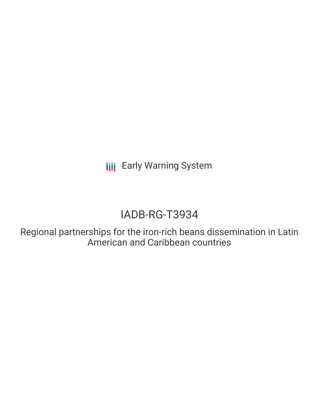**III** Early Warning System

# IADB-RG-T3934

Regional partnerships for the iron-rich beans dissemination in Latin American and Caribbean countries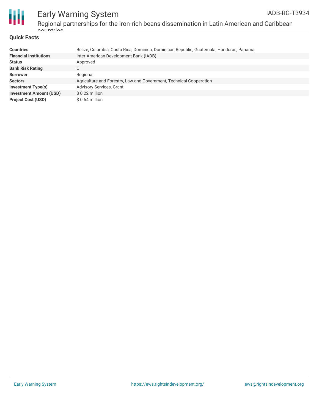

# Early Warning System Regional partnerships for the iron-rich beans dissemination in Latin American and Caribbean countries.

#### **Quick Facts**

| <b>Countries</b>               | Belize, Colombia, Costa Rica, Dominica, Dominican Republic, Guatemala, Honduras, Panama |
|--------------------------------|-----------------------------------------------------------------------------------------|
| <b>Financial Institutions</b>  | Inter-American Development Bank (IADB)                                                  |
| <b>Status</b>                  | Approved                                                                                |
| <b>Bank Risk Rating</b>        | C                                                                                       |
| <b>Borrower</b>                | Regional                                                                                |
| <b>Sectors</b>                 | Agriculture and Forestry, Law and Government, Technical Cooperation                     |
| Investment Type(s)             | <b>Advisory Services, Grant</b>                                                         |
| <b>Investment Amount (USD)</b> | $$0.22$ million                                                                         |
| <b>Project Cost (USD)</b>      | $$0.54$ million                                                                         |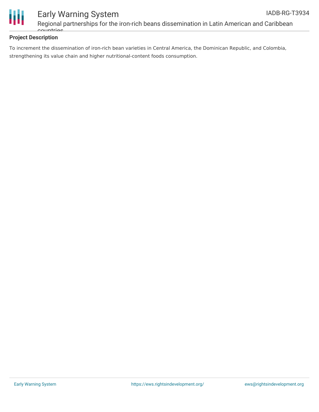

## **Project Description**

To increment the dissemination of iron-rich bean varieties in Central America, the Dominican Republic, and Colombia, strengthening its value chain and higher nutritional-content foods consumption.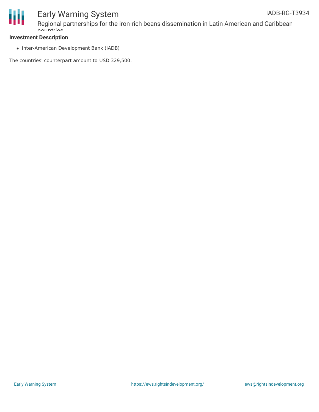

## **Investment Description**

countries<sup>.</sup>

• Inter-American Development Bank (IADB)

The countries' counterpart amount to USD 329,500.